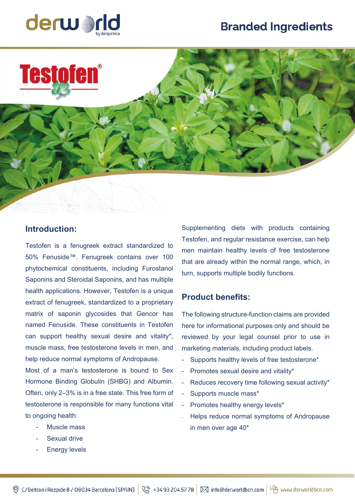## **Branded Ingredients**





## **Introduction:**

Testofen is a fenugreek extract standardized to 50% Fenuside™. Fenugreek contains over 100 phytochemical constituents, including Furostanol Saponins and Steroidal Saponins, and has multiple health applications. However, Testofen is a unique extract of fenugreek, standardized to a proprietary matrix of saponin glycosides that Gencor has named Fenuside. These constituents in Testofen can support healthy sexual desire and vitality\*, muscle mass, free testosterone levels in men, and help reduce normal symptoms of Andropause.

Most of a man's testosterone is bound to Sex Hormone Binding Globulin (SHBG) and Albumin. Often, only 2–3% is in a free state. This free form of testosterone is responsible for many functions vital to ongoing health:

- Muscle mass
- Sexual drive
- **Energy levels**

Supplementing diets with products containing Testofen, and regular resistance exercise, can help men maintain healthy levels of free testosterone that are already within the normal range, which, in turn, supports multiple bodily functions.

## **Product benefits:**

The following structure-function claims are provided here for informational purposes only and should be reviewed by your legal counsel prior to use in marketing materials, including product labels.

- Supports healthy levels of free testosterone\*
- Promotes sexual desire and vitality\*
- Reduces recovery time following sexual activity\*
- Supports muscle mass\*
- Promotes healthy energy levels\*
- Helps reduce normal symptoms of Andropause in men over age 40\*